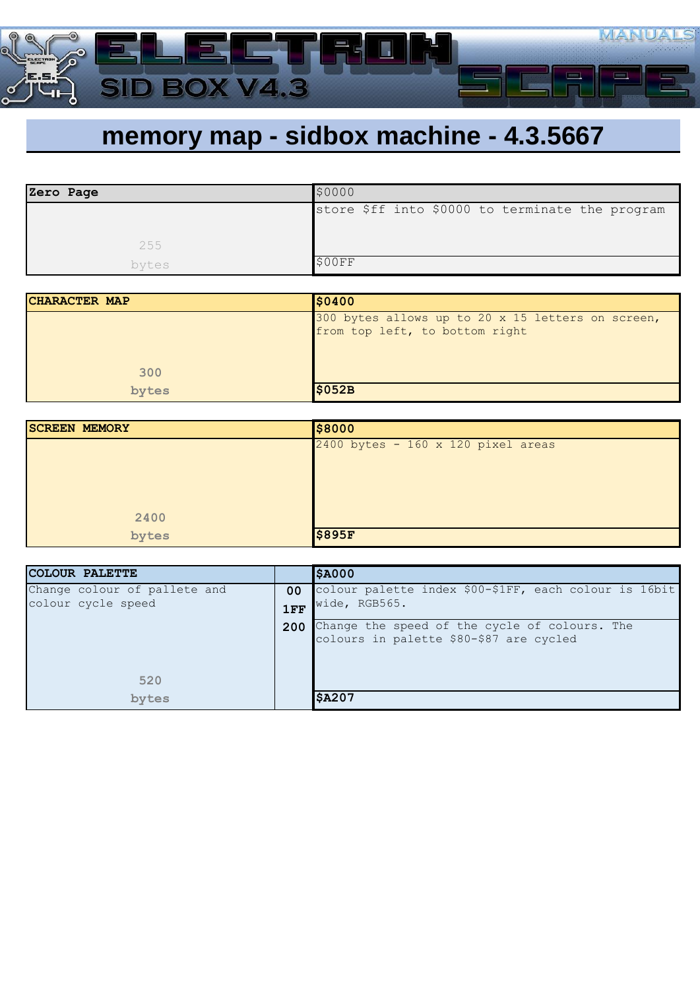

## **memory map - sidbox machine - 4.3.5667**

| Zero Page | \$0000                                          |
|-----------|-------------------------------------------------|
|           | store \$ff into \$0000 to terminate the program |
|           |                                                 |
| 255       |                                                 |
| bytes     | \$00FF                                          |

| CHARACTER MAP | \$0400                                                                              |
|---------------|-------------------------------------------------------------------------------------|
|               | 300 bytes allows up to 20 x 15 letters on screen,<br>from top left, to bottom right |
| 300           |                                                                                     |
| bytes         | \$052B                                                                              |

| <b>SCREEN MEMORY</b> | \$8000                               |
|----------------------|--------------------------------------|
|                      | $2400$ bytes - 160 x 120 pixel areas |
|                      |                                      |
|                      |                                      |
|                      |                                      |
| 2400                 |                                      |
| bytes                | <b>\$895F</b>                        |

| <b>COLOUR PALETTE</b>        |                 | \$A000                                                |
|------------------------------|-----------------|-------------------------------------------------------|
| Change colour of pallete and | 00 <sup>1</sup> | colour palette index \$00-\$1FF, each colour is 16bit |
| colour cycle speed           | 1FF             | wide, RGB565.                                         |
|                              | 200             | Change the speed of the cycle of colours. The         |
|                              |                 | colours in palette \$80-\$87 are cycled               |
|                              |                 |                                                       |
| 520                          |                 |                                                       |
| bytes                        |                 | <b>\$A207</b>                                         |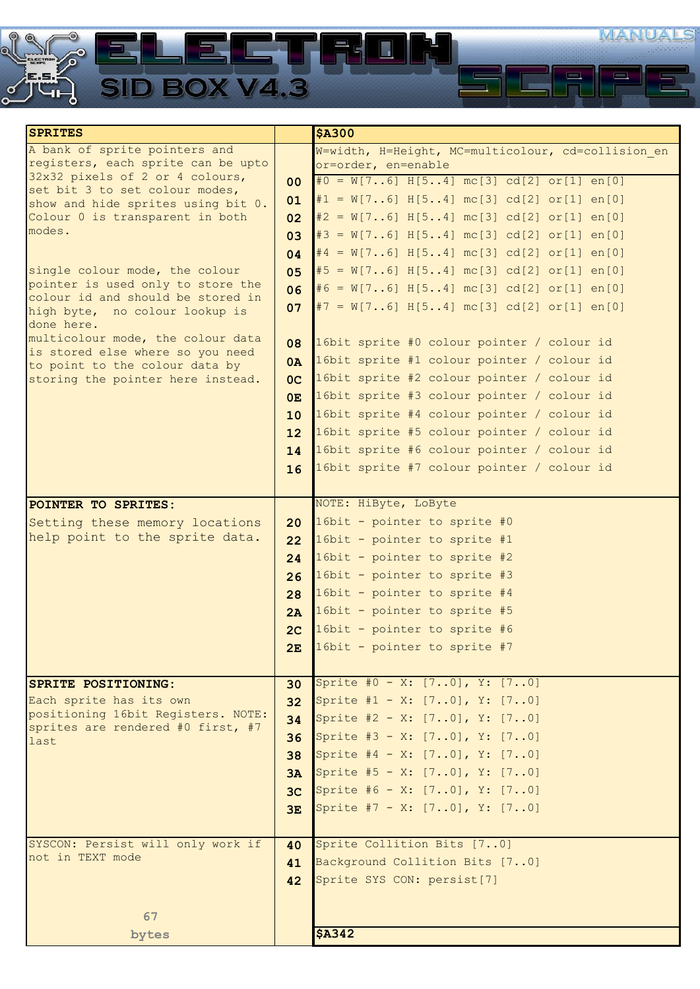

| <b>SPRITES</b>                                                          |                 | <b>\$A300</b>                                      |
|-------------------------------------------------------------------------|-----------------|----------------------------------------------------|
| A bank of sprite pointers and                                           |                 | W=width, H=Height, MC=multicolour, cd=collision en |
| registers, each sprite can be upto                                      |                 | or=order, en=enable                                |
| 32x32 pixels of 2 or 4 colours,                                         | 00 <sup>°</sup> | $#0 = W[76] H[54] mc[3] cd[2] or[1] en[0]$         |
| set bit 3 to set colour modes,                                          | 01              | $\sharp 1 = W[76] H[54] mc[3] cd[2] or[1] en[0]$   |
| show and hide sprites using bit 0.<br>Colour 0 is transparent in both   |                 | $\neq$ = W[76] H[54] mc[3] cd[2] or[1] en[0]       |
| modes.                                                                  | 02              |                                                    |
|                                                                         | 03              | $\sharp 3 = W[76] H[54] mc[3] cd[2] or[1] en[0]$   |
|                                                                         | 04              | $#4 = W[76] H[54] mc[3] cd[2] or[1] en[0]$         |
| single colour mode, the colour                                          | 05              | $\sharp 5 = W[76] H[54] mc[3] cd[2] or[1] en[0]$   |
| pointer is used only to store the                                       | 06 <sub>o</sub> | $\#6 = W[76] H[54] mc[3] cd[2] or[1] en[0]$        |
| colour id and should be stored in                                       | 07              | $\sharp 7 = W[76] H[54] mc[3] cd[2] or[1] en[0]$   |
| high byte, no colour lookup is<br>done here.                            |                 |                                                    |
| multicolour mode, the colour data                                       |                 |                                                    |
| is stored else where so you need                                        | 08              | 16bit sprite #0 colour pointer / colour id         |
| to point to the colour data by                                          | 0A              | 16bit sprite #1 colour pointer / colour id         |
| storing the pointer here instead.                                       | OC              | 16bit sprite #2 colour pointer / colour id         |
|                                                                         | 0E              | 16bit sprite #3 colour pointer / colour id         |
|                                                                         | 10              | 16bit sprite #4 colour pointer / colour id         |
|                                                                         | 12              | 16bit sprite #5 colour pointer / colour id         |
|                                                                         | 14              | 16bit sprite #6 colour pointer / colour id         |
|                                                                         |                 |                                                    |
|                                                                         | 16              | 16bit sprite #7 colour pointer / colour id         |
|                                                                         |                 |                                                    |
| POINTER TO SPRITES:                                                     |                 | NOTE: HiByte, LoByte                               |
| Setting these memory locations                                          | 20              | 16bit - pointer to sprite #0                       |
| help point to the sprite data.                                          | 22              | 16bit - pointer to sprite #1                       |
|                                                                         | 24              | 16bit - pointer to sprite #2                       |
|                                                                         | 26              | 16bit - pointer to sprite #3                       |
|                                                                         | 28              | 16bit - pointer to sprite #4                       |
|                                                                         | 2A              | 16bit - pointer to sprite #5                       |
|                                                                         |                 | 16bit - pointer to sprite #6                       |
|                                                                         | 2 <sub>C</sub>  |                                                    |
|                                                                         | 2E              | 16bit - pointer to sprite #7                       |
|                                                                         |                 |                                                    |
| <b>SPRITE POSITIONING:</b>                                              | 30              | Sprite #0 - X: [70], Y: [70]                       |
| Each sprite has its own                                                 | 32              | Sprite #1 - X: [70], Y: [70]                       |
| positioning 16bit Registers. NOTE:<br>sprites are rendered #0 first, #7 | 34              | Sprite #2 - X: [70], Y: [70]                       |
| last                                                                    | 36              | Sprite #3 - X: [70], Y: [70]                       |
|                                                                         | 38              | Sprite #4 - X: $[70]$ , Y: $[70]$                  |
|                                                                         | 3A              | Sprite #5 - X: [70], Y: [70]                       |
|                                                                         | 3 <sub>C</sub>  | Sprite #6 - X: [70], Y: [70]                       |
|                                                                         |                 |                                                    |
|                                                                         | 3E              | Sprite #7 - X: $[70]$ , Y: $[70]$                  |
|                                                                         |                 |                                                    |
| SYSCON: Persist will only work if<br>not in TEXT mode                   | 40              | Sprite Collition Bits [70]                         |
|                                                                         | 41              | Background Collition Bits [70]                     |
|                                                                         | 42              | Sprite SYS CON: persist[7]                         |
|                                                                         |                 |                                                    |
| 67                                                                      |                 |                                                    |
| bytes                                                                   |                 | <b>\$A342</b>                                      |
|                                                                         |                 |                                                    |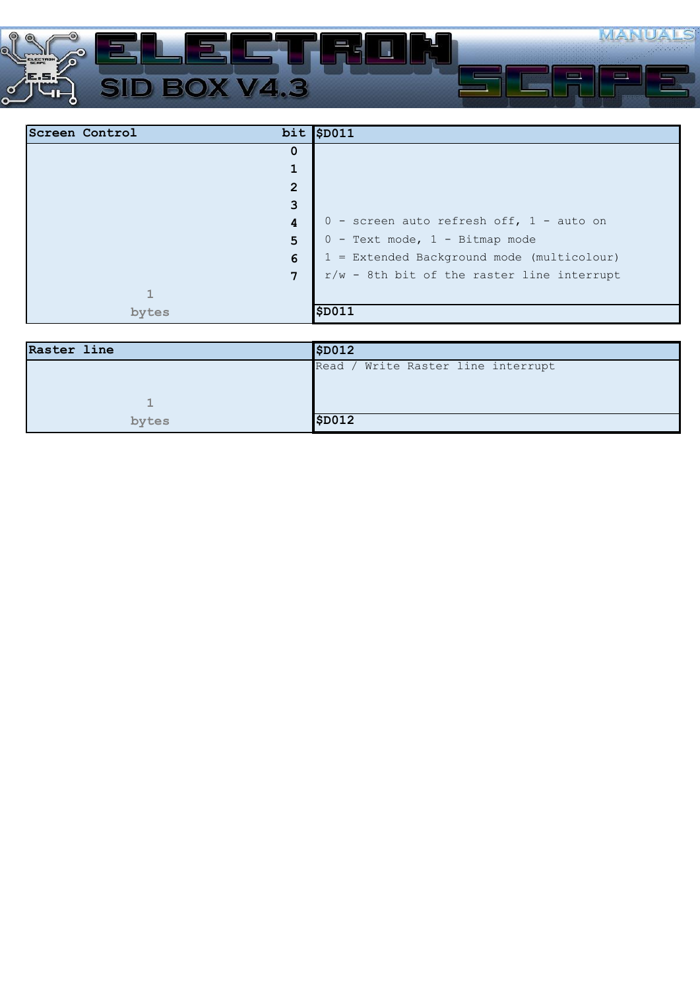

| Screen Control | $bit$ \$D011                                 |
|----------------|----------------------------------------------|
| 0              |                                              |
| 1              |                                              |
| $\overline{2}$ |                                              |
| 3              |                                              |
| 4              | 0 - screen auto refresh off, 1 - auto on     |
| 5              | $0$ - Text mode, $1$ - Bitmap mode           |
| 6              | 1 = Extended Background mode (multicolour)   |
| $\overline{7}$ | $r/w$ - 8th bit of the raster line interrupt |
| 呵              |                                              |
| bytes          | \$D011                                       |

| Raster line | \$D012                              |
|-------------|-------------------------------------|
|             | Write Raster line interrupt<br>Read |
|             |                                     |
| -           |                                     |
| bytes       | \$D012                              |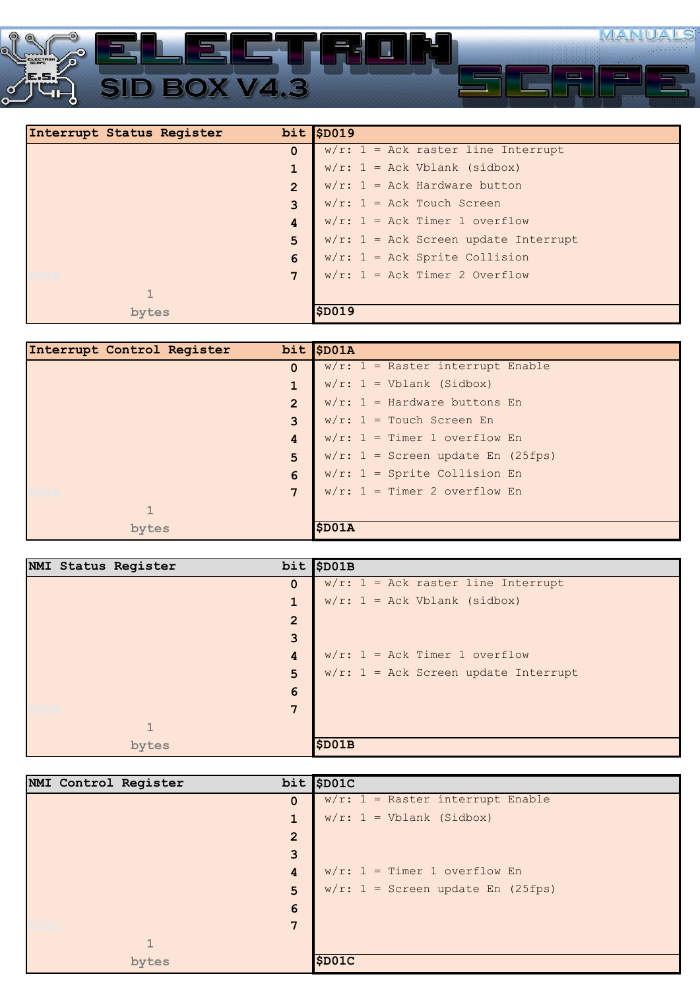

| Interrupt Status Register | $bit$ \$D019                            |
|---------------------------|-----------------------------------------|
| $\Omega$                  | $w/r$ : 1 = Ack raster line Interrupt   |
| $\mathbf{1}$              | $w/r$ : 1 = Ack Vblank (sidbox)         |
| $\overline{2}$            | $w/r$ : 1 = Ack Hardware button         |
| 3                         | $w/r$ : 1 = Ack Touch Screen            |
| 4                         | $w/r$ : 1 = Ack Timer 1 overflow        |
| 5                         | $w/r$ : 1 = Ack Screen update Interrupt |
| 6                         | $w/r$ : 1 = Ack Sprite Collision        |
| 7                         | $w/r$ : 1 = Ack Timer 2 Overflow        |
|                           |                                         |
| bytes                     | SD019                                   |

| Interrupt Control Register | $bit$ \$D01A                         |
|----------------------------|--------------------------------------|
| $\Omega$                   | $w/r$ : 1 = Raster interrupt Enable  |
| $\mathbf{1}$               | $w/r$ : 1 = Vblank (Sidbox)          |
| $\overline{2}$             | $w/r$ : 1 = Hardware buttons En      |
| $\overline{3}$             | $w/r$ : 1 = Touch Screen En          |
| 4                          | $w/r$ : 1 = Timer 1 overflow En      |
| 5                          | $w/r$ : 1 = Screen update En (25fps) |
| 6                          | $w/r$ : 1 = Sprite Collision En      |
| $7\phantom{.0}$            | $w/r$ : 1 = Timer 2 overflow En      |
|                            |                                      |
| bytes                      | \$D01A                               |

| NMI Status Register |                | $bit$ \$D01B                            |
|---------------------|----------------|-----------------------------------------|
|                     | $\mathbf 0$    | $w/r$ : 1 = Ack raster line Interrupt   |
|                     | 1              | $w/r$ : 1 = Ack Vblank (sidbox)         |
|                     | $\overline{2}$ |                                         |
|                     | 3              |                                         |
|                     | 4              | $w/r$ : 1 = Ack Timer 1 overflow        |
|                     | 5              | $w/r$ : 1 = Ack Screen update Interrupt |
|                     | 6              |                                         |
|                     | 7              |                                         |
|                     |                |                                         |
| bytes               |                | \$D01B                                  |

|  | NMI Control Register |                | $bit$ \$D01C                         |
|--|----------------------|----------------|--------------------------------------|
|  |                      | $\Omega$       | $w/r$ : 1 = Raster interrupt Enable  |
|  |                      | $\mathbf{1}$   | $w/r$ : 1 = Vblank (Sidbox)          |
|  |                      | $\overline{2}$ |                                      |
|  |                      | 3              |                                      |
|  |                      | 4              | $w/r$ : 1 = Timer 1 overflow En      |
|  |                      | 5              | $w/r$ : 1 = Screen update En (25fps) |
|  |                      | 6              |                                      |
|  |                      | 7              |                                      |
|  | $\mathbf{I}$         |                |                                      |
|  | bytes                |                | \$D01C                               |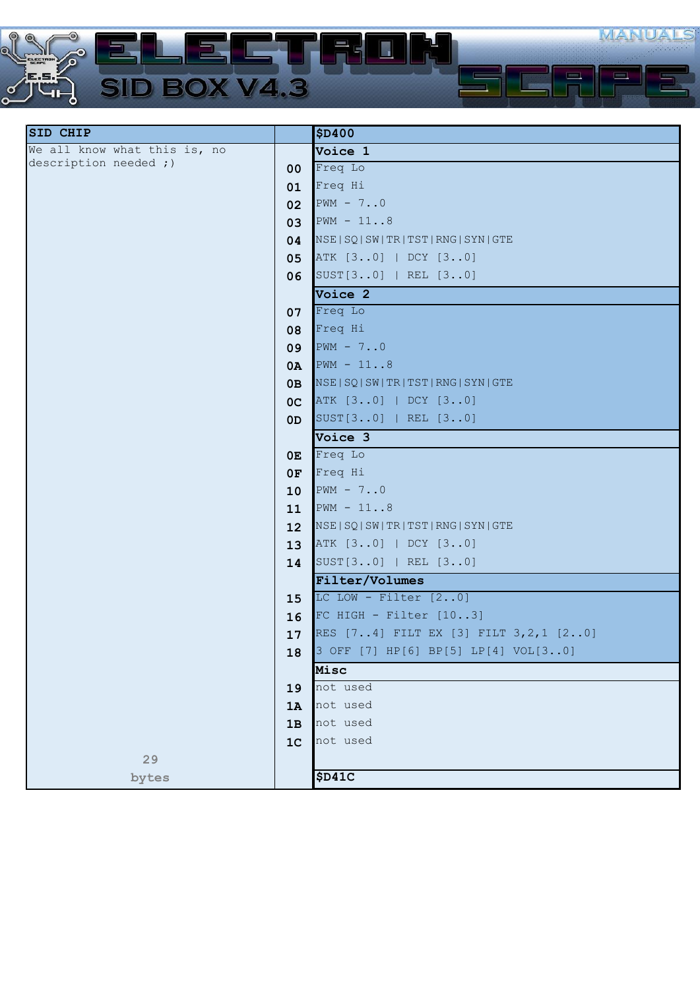

| <b>SID CHIP</b>              |                | <b>\$D400</b>                              |
|------------------------------|----------------|--------------------------------------------|
| We all know what this is, no |                | Voice 1                                    |
| description needed ;)        | $00\,$         | Freq Lo                                    |
|                              | 01             | Freq Hi                                    |
|                              | 02             | $PWM - 70$                                 |
|                              | 03             | $PWM - 118$                                |
|                              | 04             | NSE   SQ   SW   TR   TST   RNG   SYN   GTE |
|                              | 05             | ATK [30]   DCY [30]                        |
|                              | 06             | SUST[30]   REL [30]                        |
|                              |                | Voice 2                                    |
|                              | 07             | Freq Lo                                    |
|                              | 08             | Freq Hi                                    |
|                              | 09             | $PWM - 70$                                 |
|                              | 0A             | $PWM - 118$                                |
|                              | 0B             | NSE   SQ   SW   TR   TST   RNG   SYN   GTE |
|                              | OC             | ATK [30]   DCY [30]                        |
|                              | OD             | SUST[30]   REL [30]                        |
|                              |                | Voice 3                                    |
|                              | 0E             | Freq Lo                                    |
|                              | 0F             | Freq Hi                                    |
|                              | 10             | $PWM - 70$                                 |
|                              | 11             | $PWM - 118$                                |
|                              | 12             | NSE   SQ   SW   TR   TST   RNG   SYN   GTE |
|                              | 13             | ATK [30]   DCY [30]                        |
|                              | 14             | SUST[30]   REL [30]                        |
|                              |                | Filter/Volumes                             |
|                              | 15             | LC LOW - Filter $[20]$                     |
|                              | 16             | FC HIGH - Filter $[103]$                   |
|                              | 17             | RES [74] FILT EX [3] FILT 3, 2, 1 [20]     |
|                              | 18             | 3 OFF [7] HP[6] BP[5] LP[4] VOL[30]        |
|                              |                | Misc                                       |
|                              | 19             | not used                                   |
|                              | 1A             | not used                                   |
|                              | 1B             | not used                                   |
|                              | 1 <sup>C</sup> | not used                                   |
| 29                           |                |                                            |
| bytes                        |                | \$D41C                                     |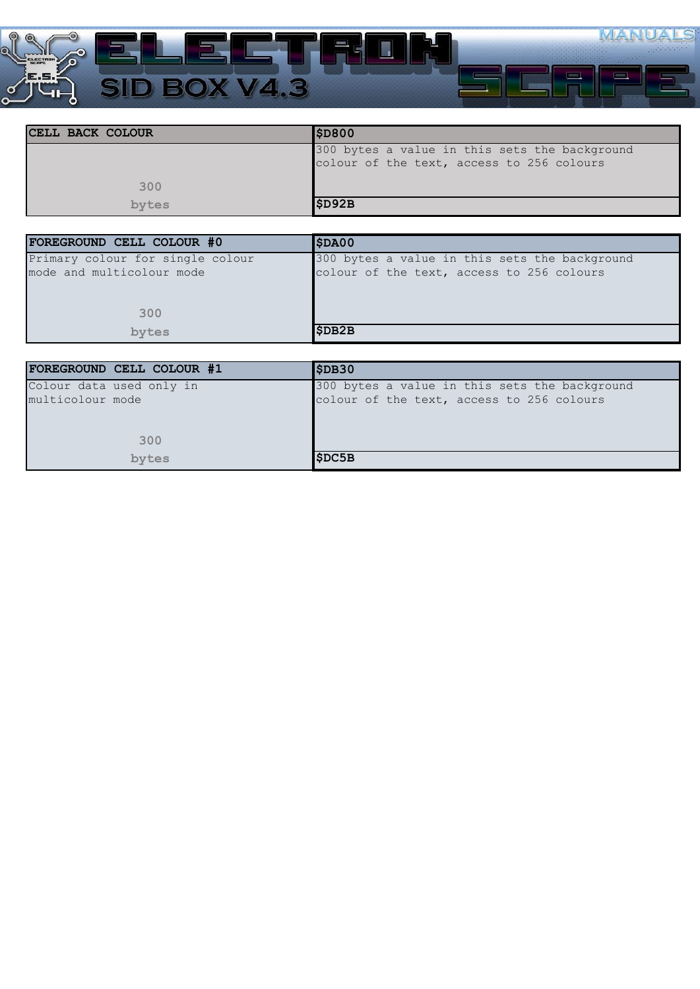

| ICELL BACK COLOUR | \$D800                                        |
|-------------------|-----------------------------------------------|
|                   | 300 bytes a value in this sets the background |
|                   | colour of the text, access to 256 colours     |
|                   |                                               |
| 300               |                                               |
| bytes             | \$D92B                                        |

| FOREGROUND CELL COLOUR #0        | \$DAOO                                        |
|----------------------------------|-----------------------------------------------|
| Primary colour for single colour | 300 bytes a value in this sets the background |
| mode and multicolour mode        | colour of the text, access to 256 colours     |
|                                  |                                               |
|                                  |                                               |
| 300                              |                                               |
| bytes                            | \$DB2B                                        |
|                                  |                                               |

| FOREGROUND CELL COLOUR #1 | \$DB30                                        |
|---------------------------|-----------------------------------------------|
| Colour data used only in  | 300 bytes a value in this sets the background |
| multicolour mode          | colour of the text, access to 256 colours     |
|                           |                                               |
|                           |                                               |
| 300                       |                                               |
| bytes                     | \$DC5B                                        |
|                           |                                               |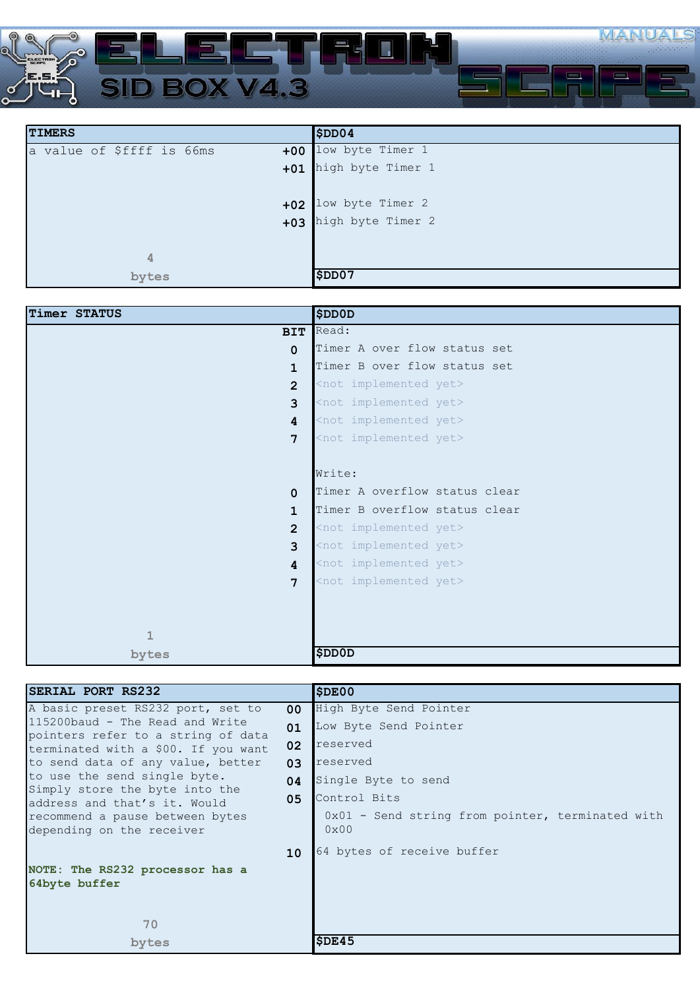

| <b>TIMERS</b>                      | \$DD04            |
|------------------------------------|-------------------|
| a value of \$ffff is 66ms<br>$+00$ | low byte Timer 1  |
| $+01$                              | high byte Timer 1 |
|                                    |                   |
| $+02$                              | low byte Timer 2  |
| $+03$                              | high byte Timer 2 |
|                                    |                   |
| 4                                  |                   |
| bytes                              | \$DD07            |

| Timer STATUS    | <b>SDDOD</b>                      |
|-----------------|-----------------------------------|
| <b>BIT</b>      | Read:                             |
| $\Omega$        | Timer A over flow status set      |
| $\mathbf{1}$    | Timer B over flow status set      |
| $\overline{2}$  | <not implemented="" yet=""></not> |
| 3               | <not implemented="" yet=""></not> |
| 4               | <not implemented="" yet=""></not> |
| $7\phantom{.0}$ | <not implemented="" yet=""></not> |
|                 |                                   |
|                 | Write:                            |
| $\Omega$        | Timer A overflow status clear     |
| 1               | Timer B overflow status clear     |
| $\overline{2}$  | <not implemented="" yet=""></not> |
| 3               | <not implemented="" yet=""></not> |
| $\overline{4}$  | <not implemented="" yet=""></not> |
| 7               | <not implemented="" yet=""></not> |
|                 |                                   |
|                 |                                   |
| $\mathbf{1}$    |                                   |
| bytes           | <b>SDDOD</b>                      |

| SERIAL PORT RS232                                                         |                 | <b>SDE00</b>                                                        |
|---------------------------------------------------------------------------|-----------------|---------------------------------------------------------------------|
| A basic preset RS232 port, set to                                         | 00 <sup>1</sup> | High Byte Send Pointer                                              |
| 115200baud - The Read and Write                                           | 01              | Low Byte Send Pointer                                               |
| pointers refer to a string of data<br>terminated with a \$00. If you want | 02              | reserved                                                            |
| to send data of any value, better                                         | 03              | reserved                                                            |
| to use the send single byte.                                              | 04              | Single Byte to send                                                 |
| Simply store the byte into the<br>address and that's it. Would            | 05              | Control Bits                                                        |
| recommend a pause between bytes<br>depending on the receiver              |                 | $0x01$ - Send string from pointer, terminated with<br>$0 \times 00$ |
|                                                                           | 10 <sup>°</sup> | 64 bytes of receive buffer                                          |
| NOTE: The RS232 processor has a                                           |                 |                                                                     |
| 64byte buffer                                                             |                 |                                                                     |
|                                                                           |                 |                                                                     |
| 70                                                                        |                 |                                                                     |
| bytes                                                                     |                 | SDE45                                                               |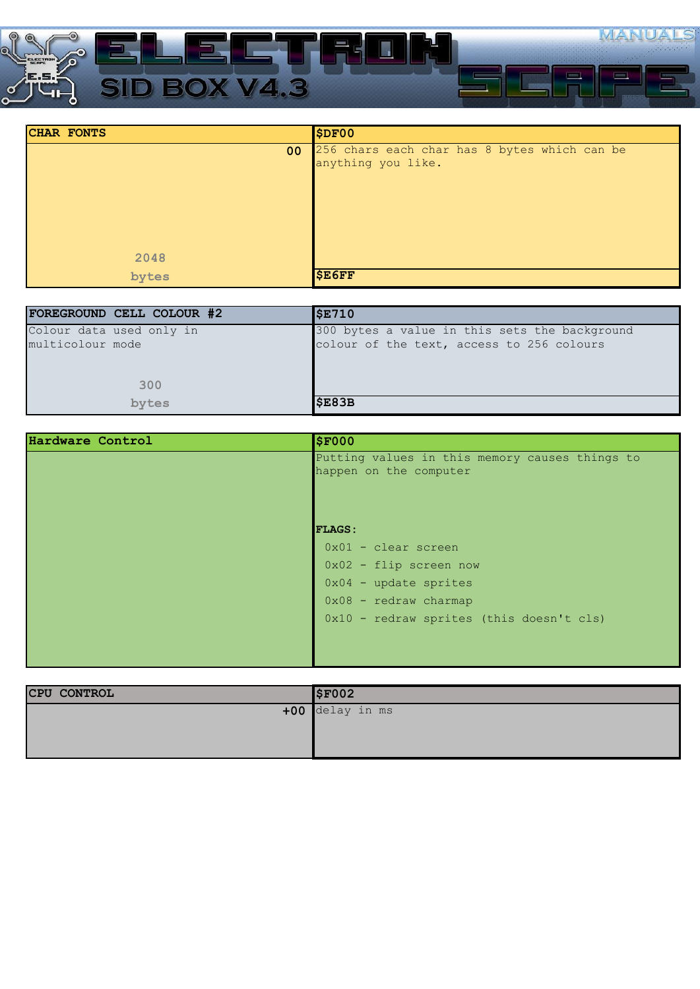

| <b>CHAR FONTS</b> | SDF00                                                              |
|-------------------|--------------------------------------------------------------------|
| 00                | 256 chars each char has 8 bytes which can be<br>anything you like. |
|                   |                                                                    |
| 2048              |                                                                    |
| bytes             | <b>\$E6FF</b>                                                      |

| FOREGROUND CELL COLOUR #2 | <b>\$E710</b>                                 |
|---------------------------|-----------------------------------------------|
| Colour data used only in  | 300 bytes a value in this sets the background |
| multicolour mode          | colour of the text, access to 256 colours     |
|                           |                                               |
|                           |                                               |
| 300                       |                                               |
| bytes                     | \$E83B                                        |

| Hardware Control | <b>\$F000</b>                                  |
|------------------|------------------------------------------------|
|                  | Putting values in this memory causes things to |
|                  | happen on the computer                         |
|                  |                                                |
|                  |                                                |
|                  | <b>FLAGS:</b>                                  |
|                  | $0x01 - clear screen$                          |
|                  | $0x02$ - flip screen now                       |
|                  | $0x04$ - update sprites                        |
|                  | $0x08$ - redraw charmap                        |
|                  | 0x10 - redraw sprites (this doesn't cls)       |
|                  |                                                |
|                  |                                                |

| <b>CPU CONTROL</b> | \$F002          |
|--------------------|-----------------|
|                    | +00 delay in ms |
|                    |                 |
|                    |                 |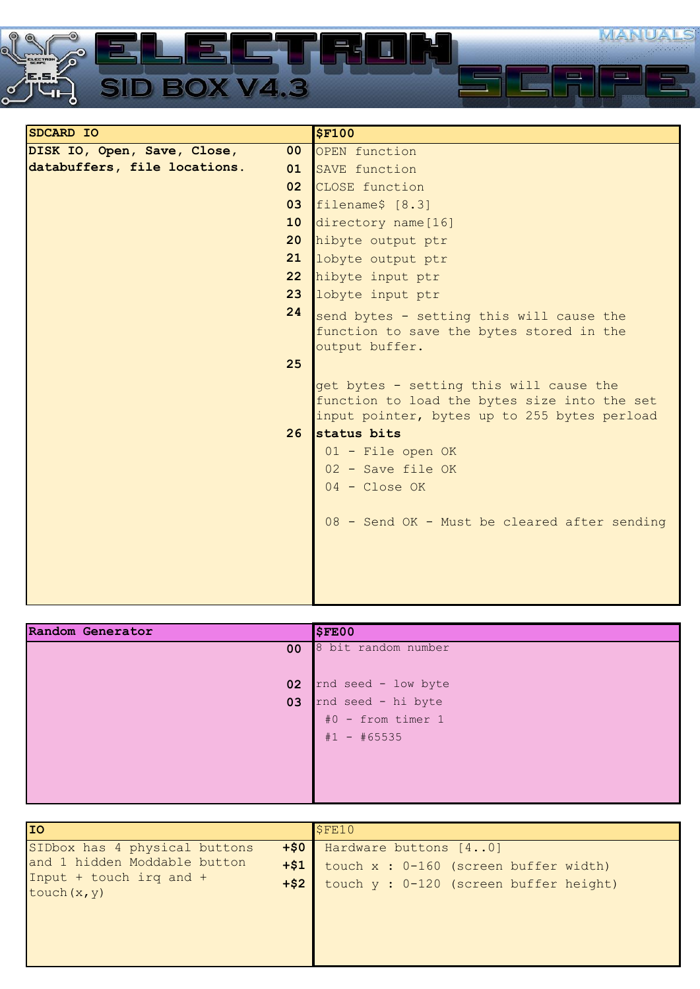

| SDCARD IO                    |                 | \$F100                                       |
|------------------------------|-----------------|----------------------------------------------|
| DISK IO, Open, Save, Close,  | 00 <sub>o</sub> | OPEN function                                |
| databuffers, file locations. | 01              | SAVE function                                |
|                              | 02 <sub>2</sub> | CLOSE function                               |
|                              | 03              | filename\$ [8.3]                             |
|                              | 10 <sup>°</sup> | directory name [16]                          |
|                              | 20              | hibyte output ptr                            |
|                              | 21              | lobyte output ptr                            |
|                              | 22 <sub>2</sub> | hibyte input ptr                             |
|                              | 23              | lobyte input ptr                             |
|                              | 24              | send bytes - setting this will cause the     |
|                              |                 | function to save the bytes stored in the     |
|                              |                 | output buffer.                               |
|                              | 25              |                                              |
|                              |                 | get bytes - setting this will cause the      |
|                              |                 | function to load the bytes size into the set |
|                              |                 | input pointer, bytes up to 255 bytes perload |
|                              | 26              | status bits                                  |
|                              |                 | 01 - File open OK                            |
|                              |                 | 02 - Save file OK                            |
|                              |                 | $04 - Close OK$                              |
|                              |                 | 08 - Send OK - Must be cleared after sending |
|                              |                 |                                              |
|                              |                 |                                              |
|                              |                 |                                              |
|                              |                 |                                              |

| 8 bit random number |
|---------------------|
|                     |
| rnd seed - low byte |
| rnd seed - hi byte  |
| #0 - from timer 1   |
| $#1 - #65535$       |
|                     |
|                     |
|                     |
|                     |

| <b>IIO</b>                                                                                                                           | SFE10                                                                                                      |
|--------------------------------------------------------------------------------------------------------------------------------------|------------------------------------------------------------------------------------------------------------|
| SIDbox has 4 physical buttons<br>$+50$<br>and 1 hidden Moddable button<br>$+ $1$<br>Input + touch irq and +<br>$+ $2$<br>touch(x, y) | Hardware buttons [40]<br>touch $x : 0-160$ (screen buffer width)<br>touch y : 0-120 (screen buffer height) |